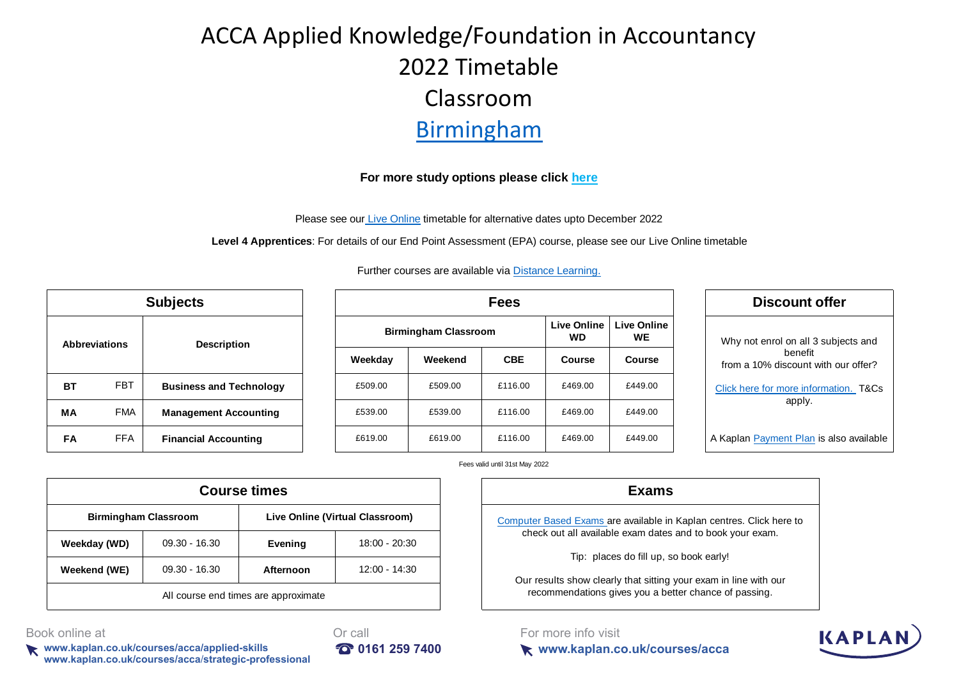# ACCA Applied Knowledge/Foundation in Accountancy 2022 Timetable Classroom Birmingham

#### **[For more study options please click](https://kaplan.co.uk/docs/default-source/pdfs/timetables/acca/professional/acca-tt-liveonline-pt-21.pdf?sfvrsn=f7e24e01_12) here**

[Please see our Live Online](https://kaplan.co.uk/docs/default-source/pdfs/timetables/foundations/fia-tt-liveonline-pt.pdf?sfvrsn=e166a01_29) timetable for alternative dates upto December 2022

**Level 4 Apprentices**: For details of our End Point Assessment (EPA) course, please see our Live Online timetable

[Further courses are available via D](https://kaplan.co.uk/study-methods/distance-learning)istance Learning.

| <b>Subjects</b>      |            |                                |  |  |  |  |
|----------------------|------------|--------------------------------|--|--|--|--|
| <b>Abbreviations</b> |            | <b>Description</b>             |  |  |  |  |
| BТ                   | <b>FBT</b> | <b>Business and Technology</b> |  |  |  |  |
| MА                   | <b>FMA</b> | <b>Management Accounting</b>   |  |  |  |  |
| FA                   | <b>FFA</b> | <b>Financial Accounting</b>    |  |  |  |  |

|            | <b>Subjects</b>                | <b>Fees</b> |                             |                                 |                                 |         |         |
|------------|--------------------------------|-------------|-----------------------------|---------------------------------|---------------------------------|---------|---------|
| ns         | <b>Description</b>             |             | <b>Birmingham Classroom</b> | <b>Live Online</b><br><b>WD</b> | <b>Live Online</b><br><b>WE</b> |         |         |
|            |                                |             | Weekday                     | Weekend                         | <b>CBE</b>                      | Course  | Course  |
| <b>FBT</b> | <b>Business and Technology</b> |             | £509.00                     | £509.00                         | £116.00                         | £469.00 | £449.00 |
| <b>FMA</b> | <b>Management Accounting</b>   |             | £539.00                     | £539.00                         | £116.00                         | £469.00 | £449.00 |
| <b>FFA</b> | <b>Financial Accounting</b>    |             | £619.00                     | £619.00                         | £116.00                         | £469.00 | £449.00 |

**Discount offer** [Why](https://kaplan.co.uk/courses/acca?&utm_source=Timetable&utm_medium=PDF+Timetable&utm_campaign=ACCA_TT_Birmingham_PT_Knowledge) not enrol on all 3 subjects and [b](https://kaplan.co.uk/courses/acca?&utm_source=Timetable&utm_medium=PDF+Timetable&utm_campaign=ACCA_TT_Birmingham_PT_Knowledge)enefit [from](https://kaplan.co.uk/courses/acca?&utm_source=Timetable&utm_medium=PDF+Timetable&utm_campaign=ACCA_TT_Birmingham_PT_Knowledge) a 10% discount with our offer? [Click here for more information.](https://kaplan.co.uk/courses/acca?&utm_source=Timetable&utm_medium=PDF+Timetable&utm_campaign=ACCA_TT_Birmingham_PT_Knowledge) T&Cs apply. [A Kaplan Payment Plan](https://kaplan.co.uk/funding-options/interest-free-payment-plan?&utm_source=Timetable&utm_medium=PDF+Timetable&utm_campaign=ACCA_TT_Birmingham_PT_Knowledge) is also available

KAPL

#### Fees valid until 31st May 2022

| <b>Exams</b>                                                       |                                 | <b>Course times</b>                  |                 |                             |  |  |
|--------------------------------------------------------------------|---------------------------------|--------------------------------------|-----------------|-----------------------------|--|--|
| Computer Based Exams are available in                              | Live Online (Virtual Classroom) |                                      |                 | <b>Birmingham Classroom</b> |  |  |
| check out all available exam dates                                 | 18:00 - 20:30                   | Evening                              | $09.30 - 16.30$ | Weekday (WD)                |  |  |
| Tip: places do fill up, s<br>Our results show clearly that sitting | 12:00 - 14:30                   | Afternoon                            | $09.30 - 16.30$ | Weekend (WE)                |  |  |
| recommendations gives you a be                                     |                                 | All course end times are approximate |                 |                             |  |  |

**[Computer Based Exams](https://kaplan.co.uk/exams) are available in Kaplan centres. Click here to** check out all available exam dates and to book your exam.

[T](https://kaplan.co.uk/exams)ip: places do fill up, so book early!

Our results show clearly that sitting your exam in line with our [r](https://kaplan.co.uk/exams)ecommendations gives you a better chance of passing.

**www.kaplan.co.uk/courses/acca**

For more info visit

Book online at **Or call** 

**www.kaplan.co.uk/courses/acca/applied-skills 0161 259 7400 www.kaplan.co.uk/courses/acca**/**strategic-professional**

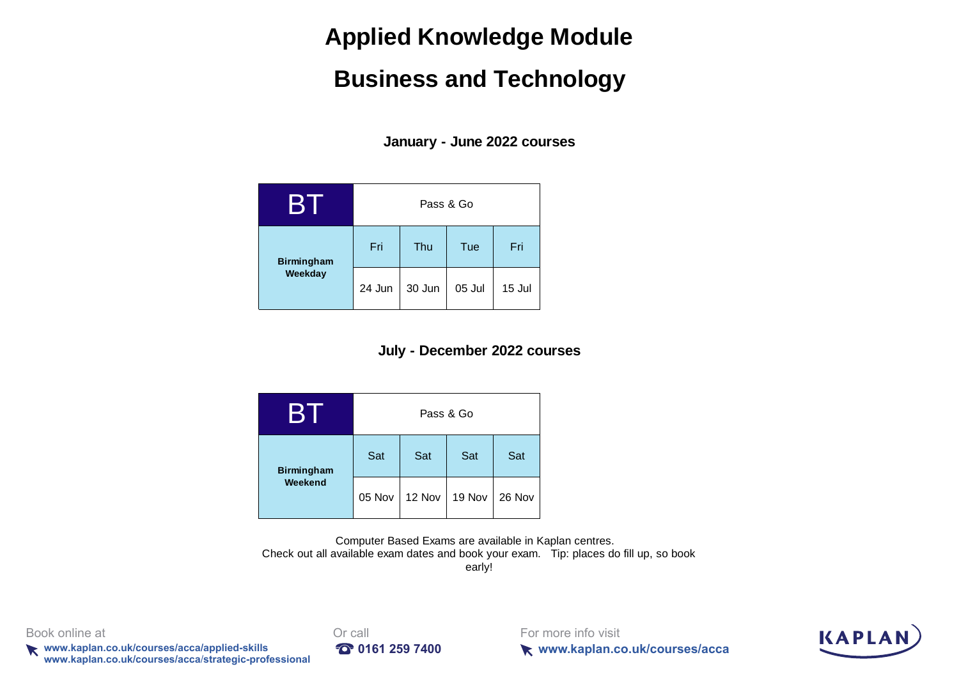## **Applied Knowledge Module**

## **Business and Technology**

**January - June 2022 courses**

| B.                           | Pass & Go |        |        |        |  |  |  |  |
|------------------------------|-----------|--------|--------|--------|--|--|--|--|
| <b>Birmingham</b><br>Weekday | Fri       | Thu    | Tue    | Fri    |  |  |  |  |
|                              | 24 Jun    | 30 Jun | 05 Jul | 15 Jul |  |  |  |  |

### **July - December 2022 courses**

|                   | Pass & Go |        |        |        |  |  |  |  |
|-------------------|-----------|--------|--------|--------|--|--|--|--|
| <b>Birmingham</b> | Sat       | Sat    | Sat    | Sat    |  |  |  |  |
| Weekend           | 05 Nov    | 12 Nov | 19 Nov | 26 Nov |  |  |  |  |

Computer Based Exams are available in Kaplan centres. Check out all available exam dates and book your exam. Tip: places do fill up, so book early!

Book online at **Driverse and Critical** Book online at

**www.kaplan.co.uk/courses/acca/applied-skills <b>10161 259 7400 www.kaplan.co.uk/courses/acca**/**strategic-professional**



For more info visit **www.kaplan.co.uk/courses/acca**

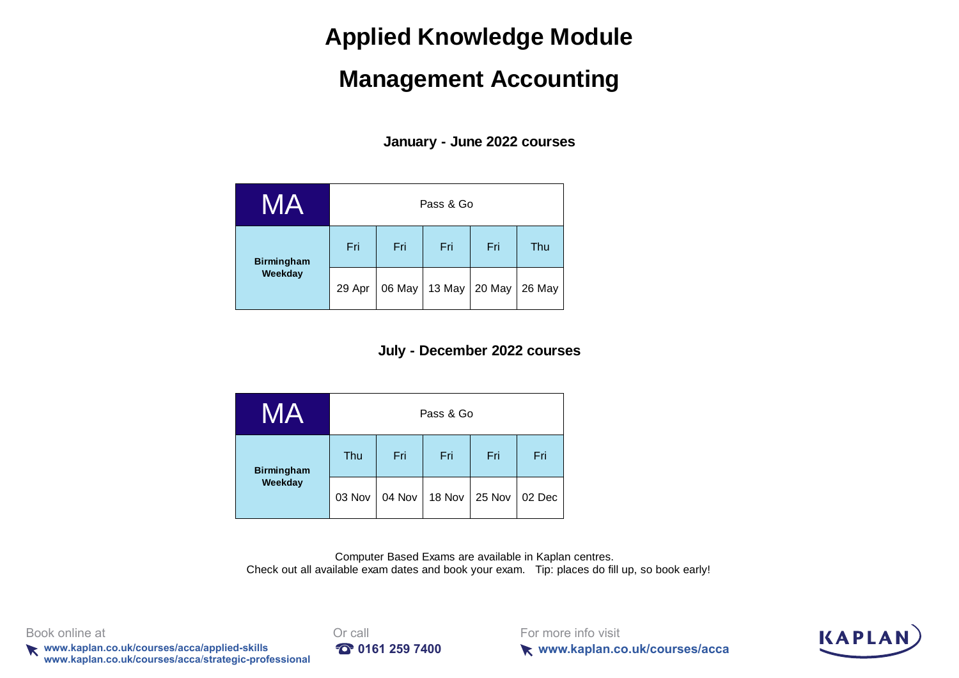## **Applied Knowledge Module**

## **Management Accounting**

**January - June 2022 courses**

| MA                | Pass & Go |            |        |        |        |  |  |  |  |
|-------------------|-----------|------------|--------|--------|--------|--|--|--|--|
| <b>Birmingham</b> | Fri       | Fri        | Fri    | Fri    | Thu    |  |  |  |  |
| Weekday           | 29 Apr    | 06 May $ $ | 13 May | 20 May | 26 May |  |  |  |  |

### **July - December 2022 courses**

| MA                           | Pass & Go |        |        |        |        |  |  |  |  |
|------------------------------|-----------|--------|--------|--------|--------|--|--|--|--|
| <b>Birmingham</b><br>Weekday | Thu       | Fri    | Fri    | Fri    | Fri    |  |  |  |  |
|                              | 03 Nov    | 04 Nov | 18 Nov | 25 Nov | 02 Dec |  |  |  |  |

Computer Based Exams are available in Kaplan centres. Check out all available exam dates and book your exam. Tip: places do fill up, so book early!



**k** www.kaplan.co.uk/courses/acca/applied-skills **197400 10161 259 7400 www.kaplan.co.uk/courses/acca**/**strategic-professional**



For more info visit **www.kaplan.co.uk/courses/acca**